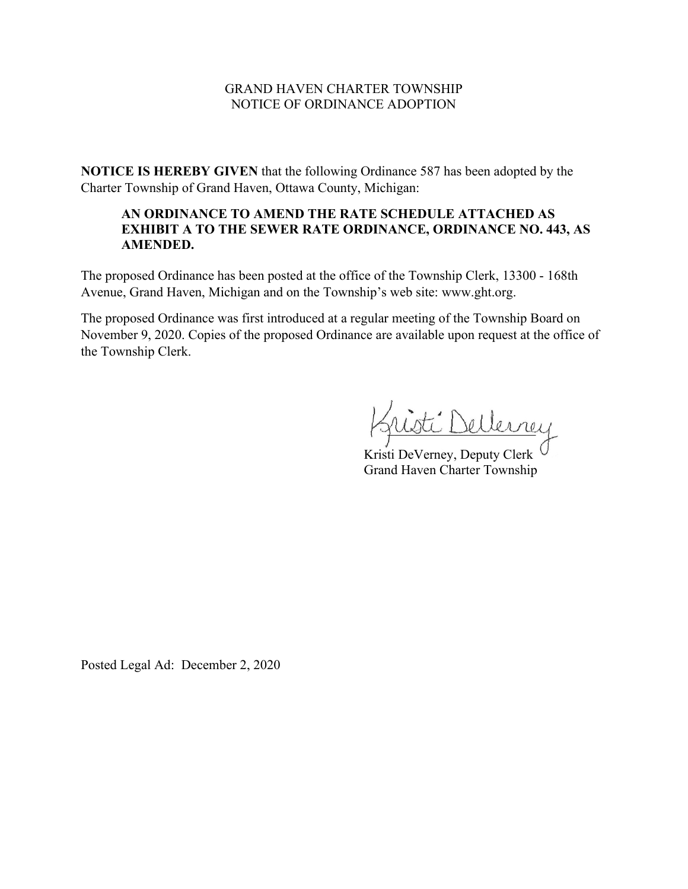#### GRAND HAVEN CHARTER TOWNSHIP NOTICE OF ORDINANCE ADOPTION

**NOTICE IS HEREBY GIVEN** that the following Ordinance 587 has been adopted by the Charter Township of Grand Haven, Ottawa County, Michigan:

# **AN ORDINANCE TO AMEND THE RATE SCHEDULE ATTACHED AS EXHIBIT A TO THE SEWER RATE ORDINANCE, ORDINANCE NO. 443, AS AMENDED.**

The proposed Ordinance has been posted at the office of the Township Clerk, 13300 - 168th Avenue, Grand Haven, Michigan and on the Township's web site: www.ght.org.

The proposed Ordinance was first introduced at a regular meeting of the Township Board on November 9, 2020. Copies of the proposed Ordinance are available upon request at the office of the Township Clerk.

ti Dellerney

Kristi DeVerney, Deputy Clerk<sup>(</sup> Grand Haven Charter Township

Posted Legal Ad: December 2, 2020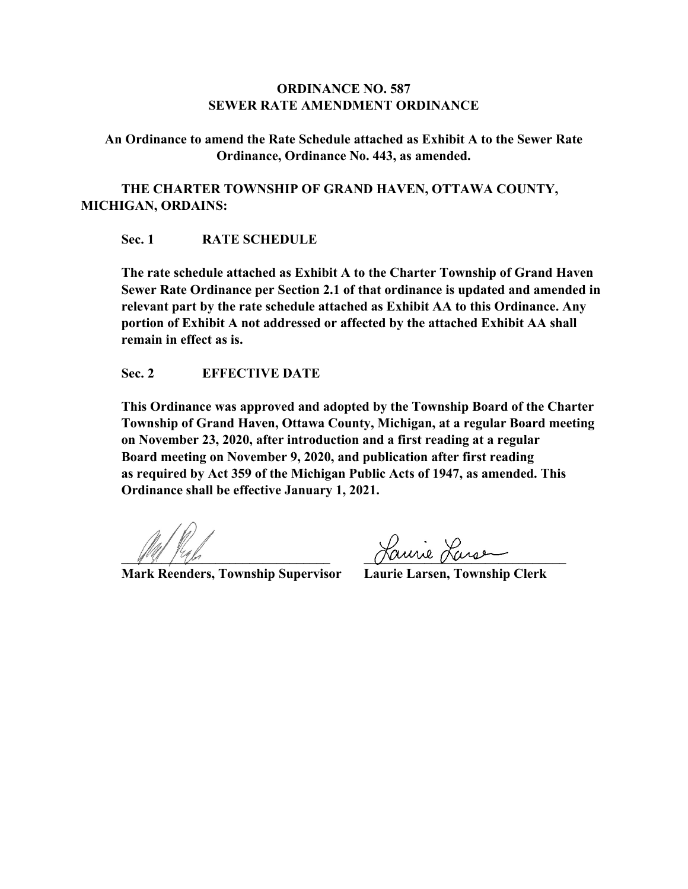## **ORDINANCE NO. 587 SEWER RATE AMENDMENT ORDINANCE**

**An Ordinance to amend the Rate Schedule attached as Exhibit A to the Sewer Rate Ordinance, Ordinance No. 443, as amended.**

**THE CHARTER TOWNSHIP OF GRAND HAVEN, OTTAWA COUNTY, MICHIGAN, ORDAINS:**

## **Sec. 1 RATE SCHEDULE**

**The rate schedule attached as Exhibit A to the Charter Township of Grand Haven Sewer Rate Ordinance per Section 2.1 of that ordinance is updated and amended in relevant part by the rate schedule attached as Exhibit AA to this Ordinance. Any portion of Exhibit A not addressed or affected by the attached Exhibit AA shall remain in effect as is.**

## **Sec. 2 EFFECTIVE DATE**

**This Ordinance was approved and adopted by the Township Board of the Charter Township of Grand Haven, Ottawa County, Michigan, at a regular Board meeting on November 23, 2020, after introduction and a first reading at a regular Board meeting on November 9, 2020, and publication after first reading as required by Act 359 of the Michigan Public Acts of 1947, as amended. This Ordinance shall be effective January 1, 2021.**

**Mark Reenders, Township Supervisor Laurie Larsen, Township Clerk**

**\_\_\_\_\_\_\_\_\_\_\_\_\_\_\_\_\_\_\_\_\_\_\_\_\_\_\_\_\_\_\_ \_\_\_\_\_\_\_\_\_\_\_\_\_\_\_\_\_\_\_\_\_\_\_\_\_\_\_\_\_\_**